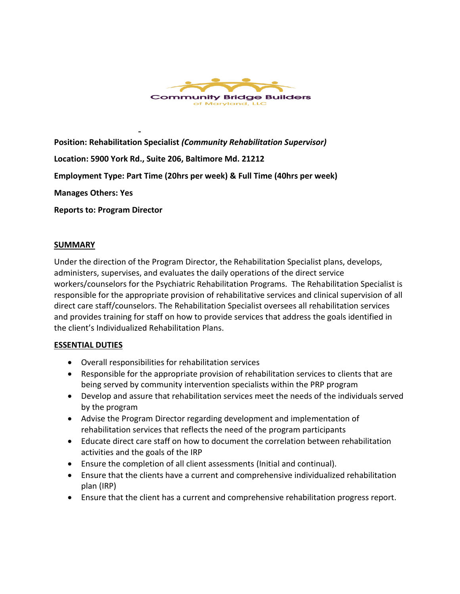

**Position: Rehabilitation Specialist** *(Community Rehabilitation Supervisor)*

**Location: 5900 York Rd., Suite 206, Baltimore Md. 21212**

**Employment Type: Part Time (20hrs per week) & Full Time (40hrs per week)**

**Manages Others: Yes**

**Reports to: Program Director**

### **SUMMARY**

Under the direction of the Program Director, the Rehabilitation Specialist plans, develops, administers, supervises, and evaluates the daily operations of the direct service workers/counselors for the Psychiatric Rehabilitation Programs. The Rehabilitation Specialist is responsible for the appropriate provision of rehabilitative services and clinical supervision of all direct care staff/counselors. The Rehabilitation Specialist oversees all rehabilitation services and provides training for staff on how to provide services that address the goals identified in the client's Individualized Rehabilitation Plans.

## **ESSENTIAL DUTIES**

- Overall responsibilities for rehabilitation services
- Responsible for the appropriate provision of rehabilitation services to clients that are being served by community intervention specialists within the PRP program
- Develop and assure that rehabilitation services meet the needs of the individuals served by the program
- Advise the Program Director regarding development and implementation of rehabilitation services that reflects the need of the program participants
- Educate direct care staff on how to document the correlation between rehabilitation activities and the goals of the IRP
- Ensure the completion of all client assessments (Initial and continual).
- Ensure that the clients have a current and comprehensive individualized rehabilitation plan (IRP)
- Ensure that the client has a current and comprehensive rehabilitation progress report.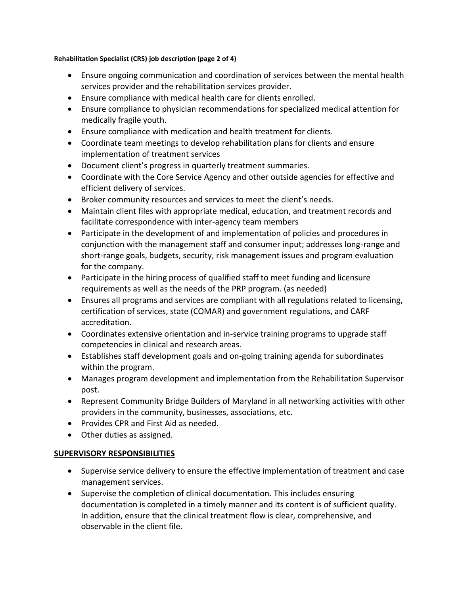### **Rehabilitation Specialist (CRS) job description (page 2 of 4)**

- Ensure ongoing communication and coordination of services between the mental health services provider and the rehabilitation services provider.
- Ensure compliance with medical health care for clients enrolled.
- Ensure compliance to physician recommendations for specialized medical attention for medically fragile youth.
- Ensure compliance with medication and health treatment for clients.
- Coordinate team meetings to develop rehabilitation plans for clients and ensure implementation of treatment services
- Document client's progress in quarterly treatment summaries.
- Coordinate with the Core Service Agency and other outside agencies for effective and efficient delivery of services.
- Broker community resources and services to meet the client's needs.
- Maintain client files with appropriate medical, education, and treatment records and facilitate correspondence with inter-agency team members
- Participate in the development of and implementation of policies and procedures in conjunction with the management staff and consumer input; addresses long-range and short-range goals, budgets, security, risk management issues and program evaluation for the company.
- Participate in the hiring process of qualified staff to meet funding and licensure requirements as well as the needs of the PRP program. (as needed)
- Ensures all programs and services are compliant with all regulations related to licensing, certification of services, state (COMAR) and government regulations, and CARF accreditation.
- Coordinates extensive orientation and in-service training programs to upgrade staff competencies in clinical and research areas.
- Establishes staff development goals and on-going training agenda for subordinates within the program.
- Manages program development and implementation from the Rehabilitation Supervisor post.
- Represent Community Bridge Builders of Maryland in all networking activities with other providers in the community, businesses, associations, etc.
- Provides CPR and First Aid as needed.
- Other duties as assigned.

# **SUPERVISORY RESPONSIBILITIES**

- Supervise service delivery to ensure the effective implementation of treatment and case management services.
- Supervise the completion of clinical documentation. This includes ensuring documentation is completed in a timely manner and its content is of sufficient quality. In addition, ensure that the clinical treatment flow is clear, comprehensive, and observable in the client file.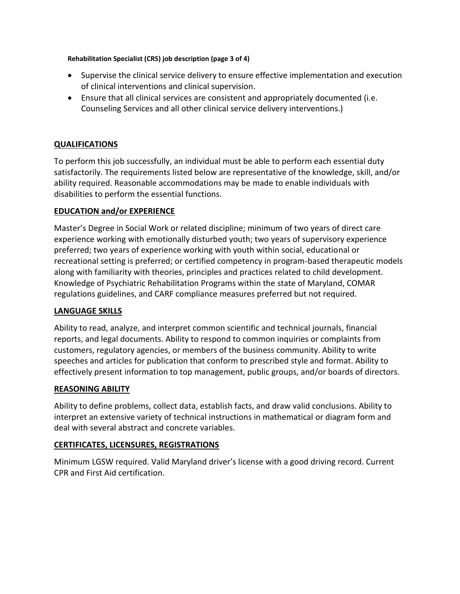#### **Rehabilitation Specialist (CRS) job description (page 3 of 4)**

- Supervise the clinical service delivery to ensure effective implementation and execution of clinical interventions and clinical supervision.
- Ensure that all clinical services are consistent and appropriately documented (i.e. Counseling Services and all other clinical service delivery interventions.)

## **QUALIFICATIONS**

To perform this job successfully, an individual must be able to perform each essential duty satisfactorily. The requirements listed below are representative of the knowledge, skill, and/or ability required. Reasonable accommodations may be made to enable individuals with disabilities to perform the essential functions.

## **EDUCATION and/or EXPERIENCE**

Master's Degree in Social Work or related discipline; minimum of two years of direct care experience working with emotionally disturbed youth; two years of supervisory experience preferred; two years of experience working with youth within social, educational or recreational setting is preferred; or certified competency in program-based therapeutic models along with familiarity with theories, principles and practices related to child development. Knowledge of Psychiatric Rehabilitation Programs within the state of Maryland, COMAR regulations guidelines, and CARF compliance measures preferred but not required.

## **LANGUAGE SKILLS**

Ability to read, analyze, and interpret common scientific and technical journals, financial reports, and legal documents. Ability to respond to common inquiries or complaints from customers, regulatory agencies, or members of the business community. Ability to write speeches and articles for publication that conform to prescribed style and format. Ability to effectively present information to top management, public groups, and/or boards of directors.

## **REASONING ABILITY**

Ability to define problems, collect data, establish facts, and draw valid conclusions. Ability to interpret an extensive variety of technical instructions in mathematical or diagram form and deal with several abstract and concrete variables.

## **CERTIFICATES, LICENSURES, REGISTRATIONS**

Minimum LGSW required. Valid Maryland driver's license with a good driving record. Current CPR and First Aid certification.